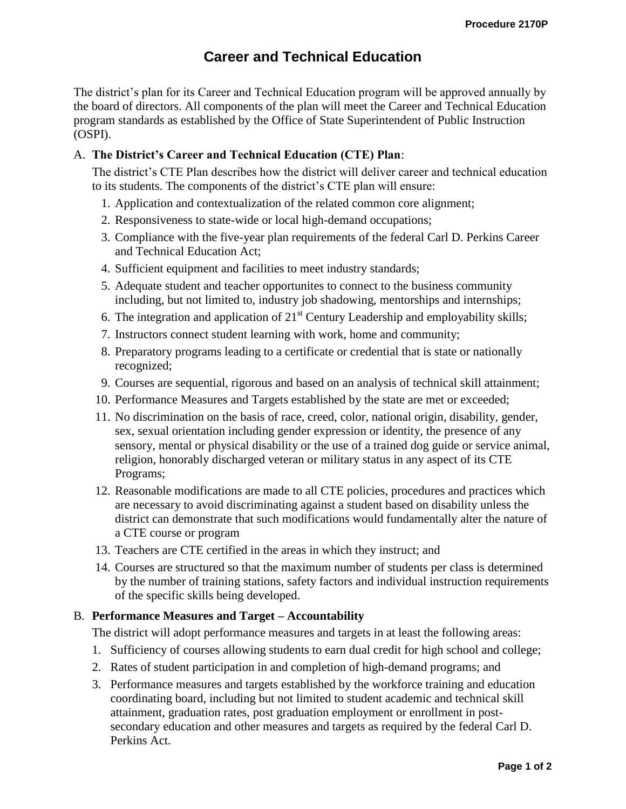# **Career and Technical Education**

The district's plan for its Career and Technical Education program will be approved annually by the board of directors. All components of the plan will meet the Career and Technical Education program standards as established by the Office of State Superintendent of Public Instruction (OSPI).

# A. **The District's Career and Technical Education (CTE) Plan**:

The district's CTE Plan describes how the district will deliver career and technical education to its students. The components of the district's CTE plan will ensure:

- 1. Application and contextualization of the related common core alignment;
- 2. Responsiveness to state-wide or local high-demand occupations;
- 3. Compliance with the five-year plan requirements of the federal Carl D. Perkins Career and Technical Education Act;
- 4. Sufficient equipment and facilities to meet industry standards;
- 5. Adequate student and teacher opportunites to connect to the business community including, but not limited to, industry job shadowing, mentorships and internships;
- 6. The integration and application of  $21<sup>st</sup>$  Century Leadership and employability skills;
- 7. Instructors connect student learning with work, home and community;
- 8. Preparatory programs leading to a certificate or credential that is state or nationally recognized;
- 9. Courses are sequential, rigorous and based on an analysis of technical skill attainment;
- 10. Performance Measures and Targets established by the state are met or exceeded;
- 11. No discrimination on the basis of race, creed, color, national origin, disability, gender, sex, sexual orientation including gender expression or identity, the presence of any sensory, mental or physical disability or the use of a trained dog guide or service animal, religion, honorably discharged veteran or military status in any aspect of its CTE Programs;
- 12. Reasonable modifications are made to all CTE policies, procedures and practices which are necessary to avoid discriminating against a student based on disability unless the district can demonstrate that such modifications would fundamentally alter the nature of a CTE course or program
- 13. Teachers are CTE certified in the areas in which they instruct; and
- 14. Courses are structured so that the maximum number of students per class is determined by the number of training stations, safety factors and individual instruction requirements of the specific skills being developed.

### B. **Performance Measures and Target – Accountability**

The district will adopt performance measures and targets in at least the following areas:

- 1. Sufficiency of courses allowing students to earn dual credit for high school and college;
- 2. Rates of student participation in and completion of high-demand programs; and
- 3. Performance measures and targets established by the workforce training and education coordinating board, including but not limited to student academic and technical skill attainment, graduation rates, post graduation employment or enrollment in postsecondary education and other measures and targets as required by the federal Carl D. Perkins Act.